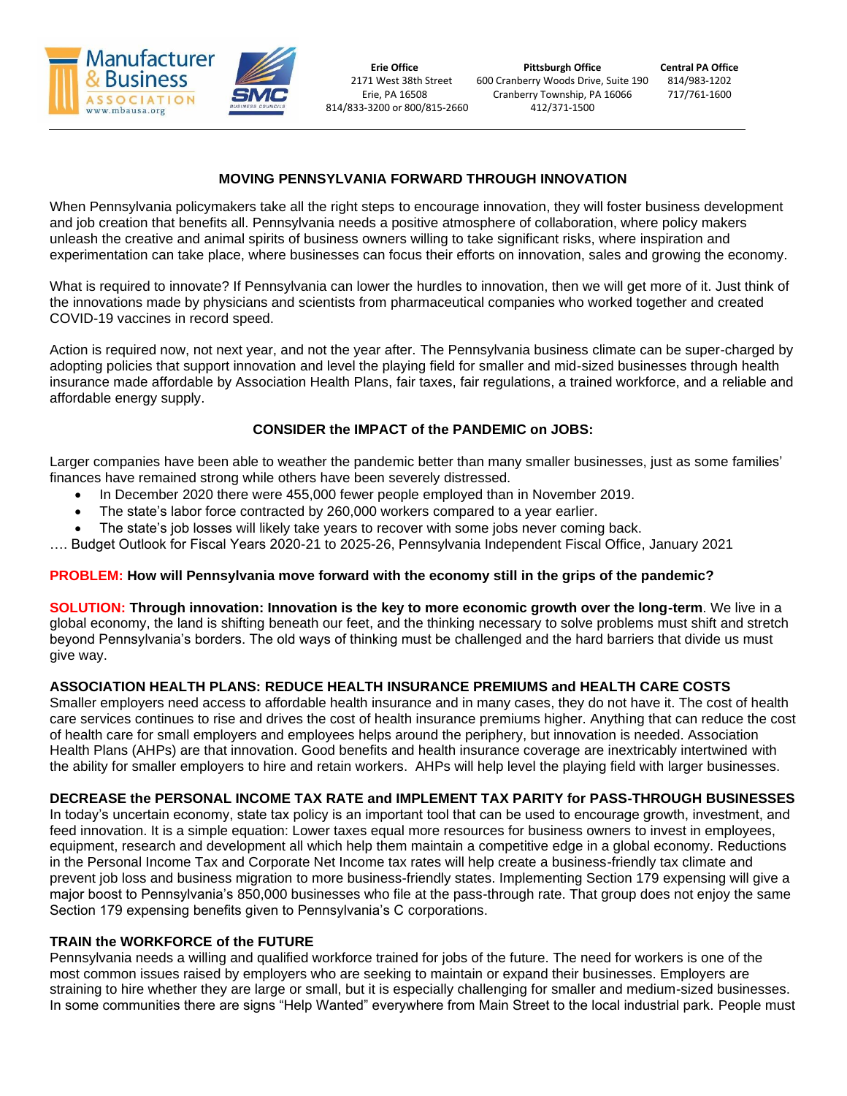

## **MOVING PENNSYLVANIA FORWARD THROUGH INNOVATION**

When Pennsylvania policymakers take all the right steps to encourage innovation, they will foster business development and job creation that benefits all. Pennsylvania needs a positive atmosphere of collaboration, where policy makers unleash the creative and animal spirits of business owners willing to take significant risks, where inspiration and experimentation can take place, where businesses can focus their efforts on innovation, sales and growing the economy.

What is required to innovate? If Pennsylvania can lower the hurdles to innovation, then we will get more of it. Just think of the innovations made by physicians and scientists from pharmaceutical companies who worked together and created COVID-19 vaccines in record speed.

Action is required now, not next year, and not the year after. The Pennsylvania business climate can be super-charged by adopting policies that support innovation and level the playing field for smaller and mid-sized businesses through health insurance made affordable by Association Health Plans, fair taxes, fair regulations, a trained workforce, and a reliable and affordable energy supply.

# **CONSIDER the IMPACT of the PANDEMIC on JOBS:**

Larger companies have been able to weather the pandemic better than many smaller businesses, just as some families' finances have remained strong while others have been severely distressed.

- In December 2020 there were 455,000 fewer people employed than in November 2019.
- The state's labor force contracted by 260,000 workers compared to a year earlier.
- The state's job losses will likely take years to recover with some jobs never coming back.

…. Budget Outlook for Fiscal Years 2020-21 to 2025-26, Pennsylvania Independent Fiscal Office, January 2021

## **PROBLEM: How will Pennsylvania move forward with the economy still in the grips of the pandemic?**

**SOLUTION: Through innovation: Innovation is the key to more economic growth over the long-term**. We live in a global economy, the land is shifting beneath our feet, and the thinking necessary to solve problems must shift and stretch beyond Pennsylvania's borders. The old ways of thinking must be challenged and the hard barriers that divide us must give way.

## **ASSOCIATION HEALTH PLANS: REDUCE HEALTH INSURANCE PREMIUMS and HEALTH CARE COSTS**

Smaller employers need access to affordable health insurance and in many cases, they do not have it. The cost of health care services continues to rise and drives the cost of health insurance premiums higher. Anything that can reduce the cost of health care for small employers and employees helps around the periphery, but innovation is needed. Association Health Plans (AHPs) are that innovation. Good benefits and health insurance coverage are inextricably intertwined with the ability for smaller employers to hire and retain workers. AHPs will help level the playing field with larger businesses.

## **DECREASE the PERSONAL INCOME TAX RATE and IMPLEMENT TAX PARITY for PASS-THROUGH BUSINESSES**

In today's uncertain economy, state tax policy is an important tool that can be used to encourage growth, investment, and feed innovation. It is a simple equation: Lower taxes equal more resources for business owners to invest in employees, equipment, research and development all which help them maintain a competitive edge in a global economy. Reductions in the Personal Income Tax and Corporate Net Income tax rates will help create a business-friendly tax climate and prevent job loss and business migration to more business-friendly states. Implementing Section 179 expensing will give a major boost to Pennsylvania's 850,000 businesses who file at the pass-through rate. That group does not enjoy the same Section 179 expensing benefits given to Pennsylvania's C corporations.

### **TRAIN the WORKFORCE of the FUTURE**

Pennsylvania needs a willing and qualified workforce trained for jobs of the future. The need for workers is one of the most common issues raised by employers who are seeking to maintain or expand their businesses. Employers are straining to hire whether they are large or small, but it is especially challenging for smaller and medium-sized businesses. In some communities there are signs "Help Wanted" everywhere from Main Street to the local industrial park. People must